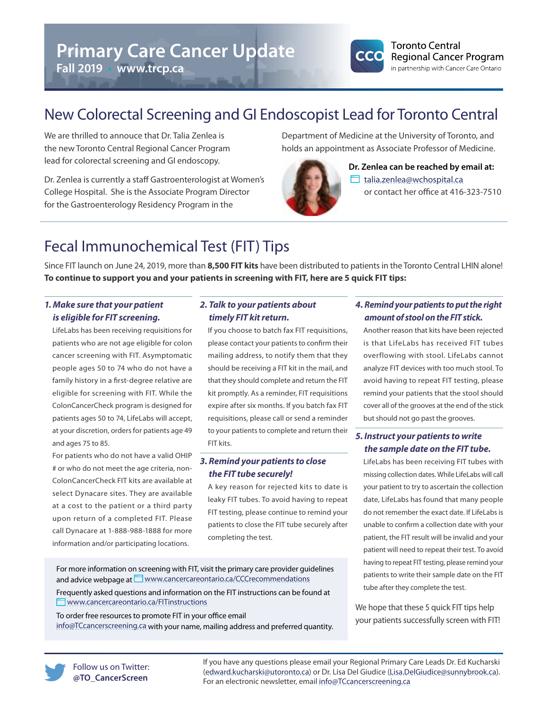# **Primary Care Cancer Update**

**Fall 2019** • **www.trcp.ca**



### New Colorectal Screening and GI Endoscopist Lead for Toronto Central

We are thrilled to annouce that Dr. Talia Zenlea is the new Toronto Central Regional Cancer Program lead for colorectal screening and GI endoscopy.

Dr. Zenlea is currently a staff Gastroenterologist at Women's College Hospital. She is the Associate Program Director for the Gastroenterology Residency Program in the

Department of Medicine at the University of Toronto, and holds an appointment as Associate Professor of Medicine.



**Dr. Zenlea can be reached by email at:** [talia.zenlea@wchospital.ca](mailto:talia.zenlea%40wchospital.ca?subject=) or contact her office at 416-323-7510

## Fecal Immunochemical Test (FIT) Tips

Since FIT launch on June 24, 2019, more than **8,500 FIT kits** have been distributed to patients in the Toronto Central LHIN alone! **To continue to support you and your patients in screening with FIT, here are 5 quick FIT tips:**

#### *1. Make sure that your patient is eligible for FIT screening.*

LifeLabs has been receiving requisitions for patients who are not age eligible for colon cancer screening with FIT. Asymptomatic people ages 50 to 74 who do not have a family history in a first-degree relative are eligible for screening with FIT. While the ColonCancerCheck program is designed for patients ages 50 to 74, LifeLabs will accept, at your discretion, orders for patients age 49 and ages 75 to 85.

For patients who do not have a valid OHIP # or who do not meet the age criteria, non-ColonCancerCheck FIT kits are available at select Dynacare sites. They are available at a cost to the patient or a third party upon return of a completed FIT. Please call Dynacare at 1-888-988-1888 for more information and/or participating locations.

#### *2. Talk to your patients about timely FIT kit return.*

If you choose to batch fax FIT requisitions, please contact your patients to confirm their mailing address, to notify them that they should be receiving a FIT kit in the mail, and that they should complete and return the FIT kit promptly. As a reminder, FIT requisitions expire after six months. If you batch fax FIT requisitions, please call or send a reminder to your patients to complete and return their FIT kits.

#### *3. Remind your patients to close the FIT tube securely!*

A key reason for rejected kits to date is leaky FIT tubes. To avoid having to repeat FIT testing, please continue to remind your patients to close the FIT tube securely after completing the test.

For more information on screening with FIT, visit the primary care provider guidelines and advice webpage at WWW.cancercareontario.ca/CCCrecommendations

Frequently asked questions and information on the FIT instructions can be found at **WWW.cancercareontario.ca/FITinstructions** 

To order free resources to promote FIT in your office email info@TCcancerscreening.ca with your name, mailing address and preferred quantity.

#### *4. Remind your patients to put the right amount of stool on the FIT stick.*

Another reason that kits have been rejected is that LifeLabs has received FIT tubes overflowing with stool. LifeLabs cannot analyze FIT devices with too much stool. To avoid having to repeat FIT testing, please remind your patients that the stool should cover all of the grooves at the end of the stick but should not go past the grooves.

#### *5. Instruct your patients to write the sample date on the FIT tube.*

LifeLabs has been receiving FIT tubes with missing collection dates. While LifeLabs will call your patient to try to ascertain the collection date, LifeLabs has found that many people do not remember the exact date. If LifeLabs is unable to confirm a collection date with your patient, the FIT result will be invalid and your patient will need to repeat their test. To avoid having to repeat FIT testing, please remind your patients to write their sample date on the FIT tube after they complete the test.

We hope that these 5 quick FIT tips help your patients successfully screen with FIT!

Follow us on Twitter: **@TO\_CancerScreen**

If you have any questions please email your Regional Primary Care Leads Dr. Ed Kucharski ([edward.kucharski@utoronto.ca](mailto:edward.kucharski@utoronto.ca)) or Dr. Lisa Del Giudice ([Lisa.DelGiudice@sunnybrook.ca\)](mailto:Lisa.DelGiudice@sunnybrook.ca). For an electronic newsletter, email [info@TCcancerscreening.ca](mailto:info@TCcancerscreening.ca)